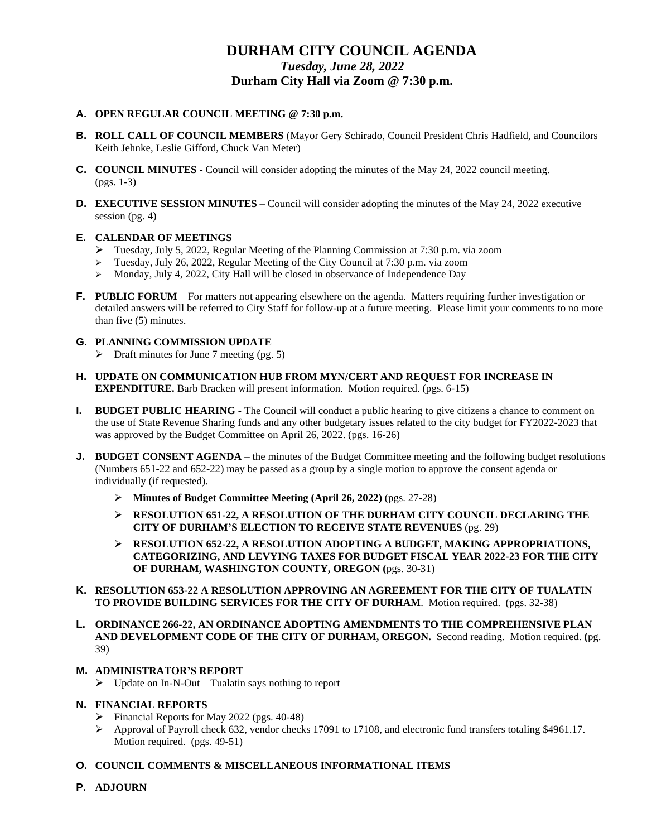# **DURHAM CITY COUNCIL AGENDA** *Tuesday, June 28, 2022* **Durham City Hall via Zoom @ 7:30 p.m.**

### **A. OPEN REGULAR COUNCIL MEETING @ 7:30 p.m.**

- **B. ROLL CALL OF COUNCIL MEMBERS** (Mayor Gery Schirado, Council President Chris Hadfield, and Councilors Keith Jehnke, Leslie Gifford, Chuck Van Meter)
- **C. COUNCIL MINUTES -** Council will consider adopting the minutes of the May 24, 2022 council meeting. (pgs. 1-3)
- **D. EXECUTIVE SESSION MINUTES** Council will consider adopting the minutes of the May 24, 2022 executive session (pg. 4)

## **E. CALENDAR OF MEETINGS**

- ➢ Tuesday, July 5, 2022, Regular Meeting of the Planning Commission at 7:30 p.m. via zoom
- ➢ Tuesday, July 26, 2022, Regular Meeting of the City Council at 7:30 p.m. via zoom
- ➢ Monday, July 4, 2022, City Hall will be closed in observance of Independence Day
- **F. PUBLIC FORUM** For matters not appearing elsewhere on the agenda. Matters requiring further investigation or detailed answers will be referred to City Staff for follow-up at a future meeting. Please limit your comments to no more than five (5) minutes.

#### **G. PLANNING COMMISSION UPDATE**

- $\triangleright$  Draft minutes for June 7 meeting (pg. 5)
- **H. UPDATE ON COMMUNICATION HUB FROM MYN/CERT AND REQUEST FOR INCREASE IN EXPENDITURE.** Barb Bracken will present information. Motion required. (pgs. 6-15)
- **I. BUDGET PUBLIC HEARING -** The Council will conduct a public hearing to give citizens a chance to comment on the use of State Revenue Sharing funds and any other budgetary issues related to the city budget for FY2022-2023 that was approved by the Budget Committee on April 26, 2022. (pgs. 16-26)
- **J. BUDGET CONSENT AGENDA** the minutes of the Budget Committee meeting and the following budget resolutions (Numbers 651-22 and 652-22) may be passed as a group by a single motion to approve the consent agenda or individually (if requested).
	- ➢ **Minutes of Budget Committee Meeting (April 26, 2022)** (pgs. 27-28)
	- ➢ **RESOLUTION 651-22, A RESOLUTION OF THE DURHAM CITY COUNCIL DECLARING THE CITY OF DURHAM'S ELECTION TO RECEIVE STATE REVENUES** (pg. 29)
	- ➢ **RESOLUTION 652-22, A RESOLUTION ADOPTING A BUDGET, MAKING APPROPRIATIONS, CATEGORIZING, AND LEVYING TAXES FOR BUDGET FISCAL YEAR 2022-23 FOR THE CITY OF DURHAM, WASHINGTON COUNTY, OREGON (**pgs. 30-31)
- **K. RESOLUTION 653-22 A RESOLUTION APPROVING AN AGREEMENT FOR THE CITY OF TUALATIN TO PROVIDE BUILDING SERVICES FOR THE CITY OF DURHAM**. Motion required. (pgs. 32-38)
- **L. ORDINANCE 266-22, AN ORDINANCE ADOPTING AMENDMENTS TO THE COMPREHENSIVE PLAN AND DEVELOPMENT CODE OF THE CITY OF DURHAM, OREGON.** Second reading. Motion required. **(**pg. 39)

#### **M. ADMINISTRATOR'S REPORT**

 $\triangleright$  Update on In-N-Out – Tualatin says nothing to report

#### **N. FINANCIAL REPORTS**

- ➢ Financial Reports for May 2022 (pgs. 40-48)
- ➢ Approval of Payroll check 632, vendor checks 17091 to 17108, and electronic fund transfers totaling \$4961.17. Motion required. (pgs. 49-51)
- **O. COUNCIL COMMENTS & MISCELLANEOUS INFORMATIONAL ITEMS**
- **P. ADJOURN**